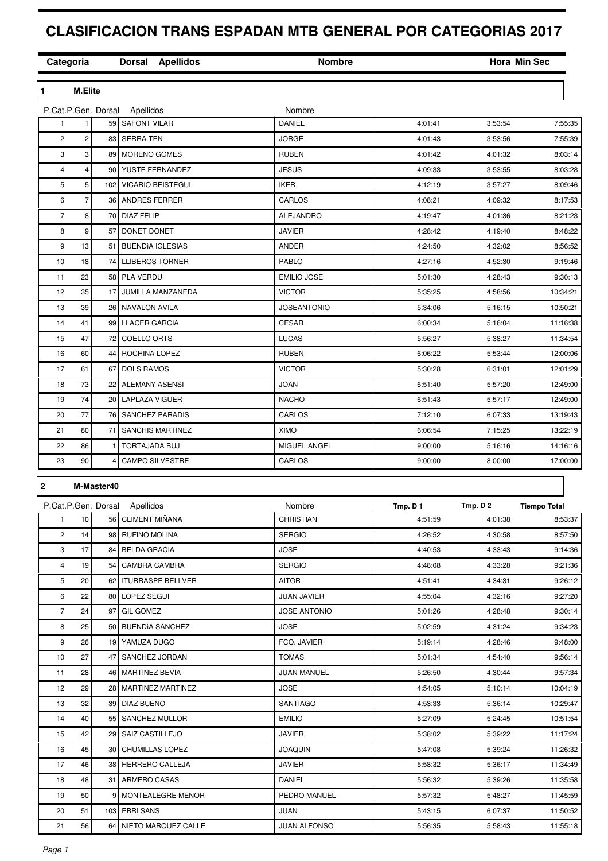## **CLASIFICACION TRANS ESPADAN MTB GENERAL POR CATEGORIAS 2017**

| Categoria           |                |                 | Dorsal Apellidos              | <b>Nombre</b>       |          |          | <b>Hora Min Sec</b> |
|---------------------|----------------|-----------------|-------------------------------|---------------------|----------|----------|---------------------|
| $\mathbf{1}$        | <b>M.Elite</b> |                 |                               |                     |          |          |                     |
| P.Cat.P.Gen. Dorsal |                |                 | Apellidos                     | Nombre              |          |          |                     |
| 1                   | 1              | 59              | <b>SAFONT VILAR</b>           | DANIEL              | 4:01:41  | 3:53:54  | 7:55:35             |
| $\overline{c}$      | 2              | 83              | <b>SERRA TEN</b>              | <b>JORGE</b>        | 4:01:43  | 3:53:56  | 7:55:39             |
| 3                   | 3              | 89              | <b>MORENO GOMES</b>           | <b>RUBEN</b>        | 4:01:42  | 4:01:32  | 8:03:14             |
| 4                   | 4              | 90              | YUSTE FERNANDEZ               | <b>JESUS</b>        | 4:09:33  | 3:53:55  | 8:03:28             |
| 5                   | 5              | 102             | <b>VICARIO BEISTEGUI</b>      | <b>IKER</b>         | 4:12:19  | 3:57:27  | 8:09:46             |
| 6                   | 7              | 36              | ANDRES FERRER                 | CARLOS              | 4:08:21  | 4:09:32  | 8:17:53             |
| 7                   | 8              | 70              | <b>DIAZ FELIP</b>             | <b>ALEJANDRO</b>    | 4:19:47  | 4:01:36  | 8:21:23             |
| 8                   | 9              | 57              | DONET DONET                   | <b>JAVIER</b>       | 4:28:42  | 4:19:40  | 8:48:22             |
| 9                   | 13             | 51              | <b>BUENDIA IGLESIAS</b>       | ANDER               | 4:24:50  | 4:32:02  | 8:56:52             |
| 10                  | 18             | 74              | <b>LLIBEROS TORNER</b>        | PABLO               | 4:27:16  | 4:52:30  | 9:19:46             |
| 11                  | 23             | 58              | PLA VERDU                     | <b>EMILIO JOSE</b>  | 5:01:30  | 4:28:43  | 9:30:13             |
| 12                  | 35             | 17              | JUMILLA MANZANEDA             | <b>VICTOR</b>       | 5:35:25  | 4:58:56  | 10:34:21            |
| 13                  | 39             | 26              | <b>NAVALON AVILA</b>          | <b>JOSEANTONIO</b>  | 5:34:06  | 5:16:15  | 10:50:21            |
| 14                  | 41             | 99              | <b>LLACER GARCIA</b>          | <b>CESAR</b>        | 6:00:34  | 5:16:04  | 11:16:38            |
| 15                  | 47             | 72              | <b>COELLO ORTS</b>            | <b>LUCAS</b>        | 5:56:27  | 5:38:27  | 11:34:54            |
| 16                  | 60             | 44              | ROCHINA LOPEZ                 | <b>RUBEN</b>        | 6:06:22  | 5:53:44  | 12:00:06            |
| 17                  | 61             | 67              | <b>DOLS RAMOS</b>             | <b>VICTOR</b>       | 5:30:28  | 6:31:01  | 12:01:29            |
| 18                  | 73             | 22              | ALEMANY ASENSI                | <b>JOAN</b>         | 6:51:40  | 5:57:20  | 12:49:00            |
| 19                  | 74             | 20              | <b>LAPLAZA VIGUER</b>         | <b>NACHO</b>        | 6:51:43  | 5:57:17  | 12:49:00            |
| 20                  | 77             | 76              | <b>SANCHEZ PARADIS</b>        | CARLOS              | 7:12:10  | 6:07:33  | 13:19:43            |
| 21                  | 80             | 71              | <b>SANCHIS MARTINEZ</b>       | <b>XIMO</b>         | 6:06:54  | 7:15:25  | 13:22:19            |
| 22                  | 86             | f.              | TORTAJADA BUJ                 | MIGUEL ANGEL        | 9:00:00  | 5:16:16  | 14:16:16            |
| 23                  | 90             |                 | <b>CAMPO SILVESTRE</b>        | CARLOS              | 9:00:00  | 8:00:00  | 17:00:00            |
|                     |                |                 |                               |                     |          |          |                     |
| $\bf 2$             |                | M-Master40      |                               |                     |          |          |                     |
|                     |                |                 | P.Cat.P.Gen. Dorsal Apellidos | Nombre              | Tmp. D 1 | Tmp. D 2 | <b>Tiempo Total</b> |
| $\mathbf{1}$        | 10             |                 | 56 CLIMENT MIÑANA             | CHRISTIAN           | 4:51:59  | 4:01:38  | 8:53:37             |
| $\overline{c}$      | 14             |                 | 98 RUFINO MOLINA              | <b>SERGIO</b>       | 4:26:52  | 4:30:58  | 8:57:50             |
| 3                   | 17             |                 | 84 BELDA GRACIA               | <b>JOSE</b>         | 4:40:53  | 4:33:43  | 9:14:36             |
| 4                   | 19             | 54              | <b>CAMBRA CAMBRA</b>          | <b>SERGIO</b>       | 4:48:08  | 4:33:28  | 9:21:36             |
| 5                   | 20             |                 | 62 ITURRASPE BELLVER          | AITOR               | 4:51:41  | 4:34:31  | 9:26:12             |
| 6                   | 22             | 80              | LOPEZ SEGUI                   | JUAN JAVIER         | 4:55:04  | 4:32:16  | 9:27:20             |
| $\overline{7}$      | 24             | 97              | <b>GIL GOMEZ</b>              | <b>JOSE ANTONIO</b> | 5:01:26  | 4:28:48  | 9:30:14             |
| 8                   | 25             | 50              | <b>BUENDIA SANCHEZ</b>        | JOSE                | 5:02:59  | 4:31:24  | 9:34:23             |
| 9                   | 26             |                 | 19 YAMUZA DUGO                | FCO. JAVIER         | 5:19:14  | 4:28:46  | 9:48:00             |
| 10                  | 27             | 47              | SANCHEZ JORDAN                | <b>TOMAS</b>        | 5:01:34  | 4:54:40  | 9:56:14             |
| 11                  | 28             | 46              | <b>MARTINEZ BEVIA</b>         | JUAN MANUEL         | 5:26:50  | 4:30:44  | 9:57:34             |
| 12                  | 29             | 28              | MARTINEZ MARTINEZ             | JOSE                | 4:54:05  | 5:10:14  | 10:04:19            |
| 13                  | 32             |                 | 39 DIAZ BUENO                 | SANTIAGO            | 4:53:33  | 5:36:14  | 10:29:47            |
| 14                  | 40             | 55              | SANCHEZ MULLOR                | <b>EMILIO</b>       | 5:27:09  | 5:24:45  | 10:51:54            |
| 15                  | 42             | 29              | SAIZ CASTILLEJO               | JAVIER              | 5:38:02  | 5:39:22  | 11:17:24            |
| 16                  | 45             | 30 <sub>0</sub> | <b>CHUMILLAS LOPEZ</b>        | <b>JOAQUIN</b>      | 5:47:08  | 5:39:24  | 11:26:32            |
| 17                  | 46             |                 | 38 HERRERO CALLEJA            | JAVIER              | 5:58:32  | 5:36:17  | 11:34:49            |
| 18                  | 48             | 31              | ARMERO CASAS                  | DANIEL              | 5:56:32  | 5:39:26  | 11:35:58            |
|                     | 50             | 9               |                               | PEDRO MANUEL        |          |          |                     |
| 19                  |                |                 | MONTEALEGRE MENOR             |                     | 5:57:32  | 5:48:27  | 11:45:59            |
| 20                  | 51             | 103             | <b>EBRI SANS</b>              | JUAN                | 5:43:15  | 6:07:37  | 11:50:52            |
| 21                  | 56             |                 | 64 NIETO MARQUEZ CALLE        | JUAN ALFONSO        | 5:56:35  | 5:58:43  | 11:55:18            |